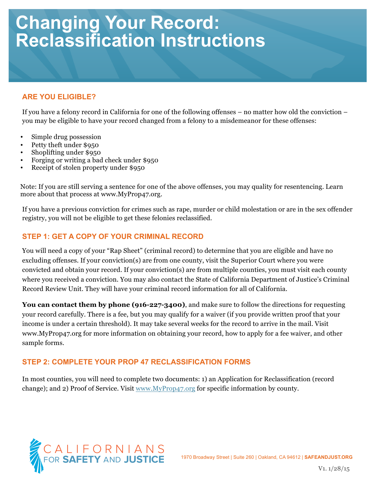# **Changing Your Record: Reclassification Instructions**

# **ARE YOU ELIGIBLE?**

If you have a felony record in California for one of the following offenses – no matter how old the conviction – you may be eligible to have your record changed from a felony to a misdemeanor for these offenses:

- Simple drug possession
- Petty theft under \$950
- Shoplifting under \$950
- Forging or writing a bad check under \$950
- Receipt of stolen property under \$950

Note: If you are still serving a sentence for one of the above offenses, you may quality for resentencing. Learn more about that process at www.MyProp47.org.

If you have a previous conviction for crimes such as rape, murder or child molestation or are in the sex offender registry, you will not be eligible to get these felonies reclassified.

## **STEP 1: GET A COPY OF YOUR CRIMINAL RECORD**

You will need a copy of your "Rap Sheet" (criminal record) to determine that you are eligible and have no excluding offenses. If your conviction(s) are from one county, visit the Superior Court where you were convicted and obtain your record. If your conviction(s) are from multiple counties, you must visit each county where you received a conviction. You may also contact the State of California Department of Justice's Criminal Record Review Unit. They will have your criminal record information for all of California.

**You can contact them by phone (916-227-3400)**, and make sure to follow the directions for requesting your record carefully. There is a fee, but you may qualify for a waiver (if you provide written proof that your income is under a certain threshold). It may take several weeks for the record to arrive in the mail. Visit www.MyProp47.org for more information on obtaining your record, how to apply for a fee waiver, and other sample forms.

### **STEP 2: COMPLETE YOUR PROP 47 RECLASSIFICATION FORMS**

In most counties, you will need to complete two documents: 1) an Application for Reclassification (record change); and 2) Proof of Service. Visit www.MyProp47.org for specific information by county.